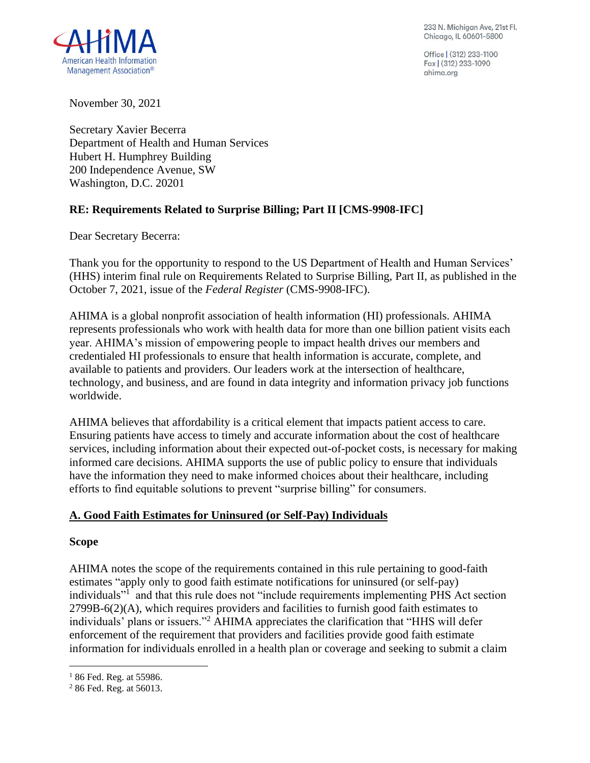233 N. Michigan Ave, 21st Fl. Chicago, IL 60601-5800

Office | (312) 233-1100 Fax (312) 233-1090 ahima.ora



November 30, 2021

Secretary Xavier Becerra Department of Health and Human Services Hubert H. Humphrey Building 200 Independence Avenue, SW Washington, D.C. 20201

# **RE: Requirements Related to Surprise Billing; Part II [CMS-9908-IFC]**

Dear Secretary Becerra:

Thank you for the opportunity to respond to the US Department of Health and Human Services' (HHS) interim final rule on Requirements Related to Surprise Billing, Part II, as published in the October 7, 2021, issue of the *Federal Register* (CMS-9908-IFC).

AHIMA is a global nonprofit association of health information (HI) professionals. AHIMA represents professionals who work with health data for more than one billion patient visits each year. AHIMA's mission of empowering people to impact health drives our members and credentialed HI professionals to ensure that health information is accurate, complete, and available to patients and providers. Our leaders work at the intersection of healthcare, technology, and business, and are found in data integrity and information privacy job functions worldwide.

AHIMA believes that affordability is a critical element that impacts patient access to care. Ensuring patients have access to timely and accurate information about the cost of healthcare services, including information about their expected out-of-pocket costs, is necessary for making informed care decisions. AHIMA supports the use of public policy to ensure that individuals have the information they need to make informed choices about their healthcare, including efforts to find equitable solutions to prevent "surprise billing" for consumers.

### **A. Good Faith Estimates for Uninsured (or Self-Pay) Individuals**

#### **Scope**

AHIMA notes the scope of the requirements contained in this rule pertaining to good-faith estimates "apply only to good faith estimate notifications for uninsured (or self-pay) individuals"<sup>1</sup> and that this rule does not "include requirements implementing PHS Act section 2799B-6(2)(A), which requires providers and facilities to furnish good faith estimates to individuals' plans or issuers."<sup>2</sup> AHIMA appreciates the clarification that "HHS will defer enforcement of the requirement that providers and facilities provide good faith estimate information for individuals enrolled in a health plan or coverage and seeking to submit a claim

 $186$  Fed. Reg. at 55986.

<sup>2</sup> 86 Fed. Reg. at 56013.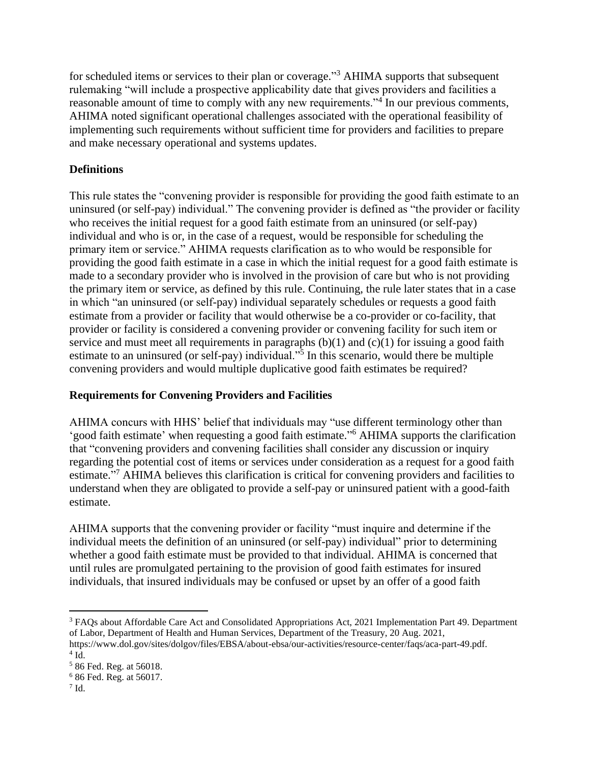for scheduled items or services to their plan or coverage."<sup>3</sup> AHIMA supports that subsequent rulemaking "will include a prospective applicability date that gives providers and facilities a reasonable amount of time to comply with any new requirements."<sup>4</sup> In our previous comments, AHIMA noted significant operational challenges associated with the operational feasibility of implementing such requirements without sufficient time for providers and facilities to prepare and make necessary operational and systems updates.

### **Definitions**

This rule states the "convening provider is responsible for providing the good faith estimate to an uninsured (or self-pay) individual." The convening provider is defined as "the provider or facility who receives the initial request for a good faith estimate from an uninsured (or self-pay) individual and who is or, in the case of a request, would be responsible for scheduling the primary item or service." AHIMA requests clarification as to who would be responsible for providing the good faith estimate in a case in which the initial request for a good faith estimate is made to a secondary provider who is involved in the provision of care but who is not providing the primary item or service, as defined by this rule. Continuing, the rule later states that in a case in which "an uninsured (or self-pay) individual separately schedules or requests a good faith estimate from a provider or facility that would otherwise be a co-provider or co-facility, that provider or facility is considered a convening provider or convening facility for such item or service and must meet all requirements in paragraphs (b)(1) and (c)(1) for issuing a good faith estimate to an uninsured (or self-pay) individual."<sup>5</sup> In this scenario, would there be multiple convening providers and would multiple duplicative good faith estimates be required?

### **Requirements for Convening Providers and Facilities**

AHIMA concurs with HHS' belief that individuals may "use different terminology other than 'good faith estimate' when requesting a good faith estimate." <sup>6</sup> AHIMA supports the clarification that "convening providers and convening facilities shall consider any discussion or inquiry regarding the potential cost of items or services under consideration as a request for a good faith estimate."<sup>7</sup> AHIMA believes this clarification is critical for convening providers and facilities to understand when they are obligated to provide a self-pay or uninsured patient with a good-faith estimate.

AHIMA supports that the convening provider or facility "must inquire and determine if the individual meets the definition of an uninsured (or self-pay) individual" prior to determining whether a good faith estimate must be provided to that individual. AHIMA is concerned that until rules are promulgated pertaining to the provision of good faith estimates for insured individuals, that insured individuals may be confused or upset by an offer of a good faith

<sup>3</sup> FAQs about Affordable Care Act and Consolidated Appropriations Act, 2021 Implementation Part 49. Department of Labor, Department of Health and Human Services, Department of the Treasury, 20 Aug. 2021, https://www.dol.gov/sites/dolgov/files/EBSA/about-ebsa/our-activities/resource-center/faqs/aca-part-49.pdf.  $4$  Id.

<sup>5</sup> 86 Fed. Reg. at 56018.

<sup>6</sup> 86 Fed. Reg. at 56017.

 $7$  Id.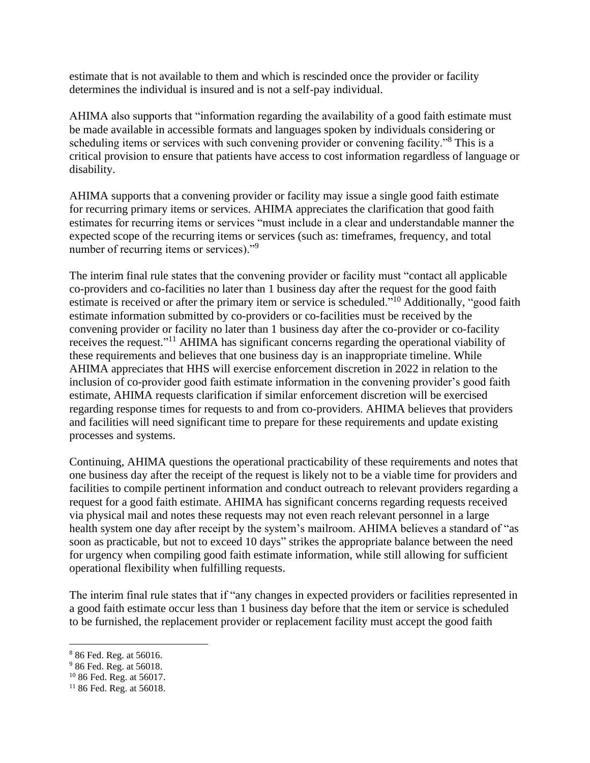estimate that is not available to them and which is rescinded once the provider or facility determines the individual is insured and is not a self-pay individual.

AHIMA also supports that "information regarding the availability of a good faith estimate must be made available in accessible formats and languages spoken by individuals considering or scheduling items or services with such convening provider or convening facility."<sup>8</sup> This is a critical provision to ensure that patients have access to cost information regardless of language or disability.

AHIMA supports that a convening provider or facility may issue a single good faith estimate for recurring primary items or services. AHIMA appreciates the clarification that good faith estimates for recurring items or services "must include in a clear and understandable manner the expected scope of the recurring items or services (such as: timeframes, frequency, and total number of recurring items or services)."<sup>9</sup>

The interim final rule states that the convening provider or facility must "contact all applicable co-providers and co-facilities no later than 1 business day after the request for the good faith estimate is received or after the primary item or service is scheduled."<sup>10</sup> Additionally, "good faith estimate information submitted by co-providers or co-facilities must be received by the convening provider or facility no later than 1 business day after the co-provider or co-facility receives the request."<sup>11</sup> AHIMA has significant concerns regarding the operational viability of these requirements and believes that one business day is an inappropriate timeline. While AHIMA appreciates that HHS will exercise enforcement discretion in 2022 in relation to the inclusion of co-provider good faith estimate information in the convening provider's good faith estimate, AHIMA requests clarification if similar enforcement discretion will be exercised regarding response times for requests to and from co-providers. AHIMA believes that providers and facilities will need significant time to prepare for these requirements and update existing processes and systems.

Continuing, AHIMA questions the operational practicability of these requirements and notes that one business day after the receipt of the request is likely not to be a viable time for providers and facilities to compile pertinent information and conduct outreach to relevant providers regarding a request for a good faith estimate. AHIMA has significant concerns regarding requests received via physical mail and notes these requests may not even reach relevant personnel in a large health system one day after receipt by the system's mailroom. AHIMA believes a standard of "as soon as practicable, but not to exceed 10 days" strikes the appropriate balance between the need for urgency when compiling good faith estimate information, while still allowing for sufficient operational flexibility when fulfilling requests.

The interim final rule states that if "any changes in expected providers or facilities represented in a good faith estimate occur less than 1 business day before that the item or service is scheduled to be furnished, the replacement provider or replacement facility must accept the good faith

<sup>8</sup> 86 Fed. Reg. at 56016.

<sup>&</sup>lt;sup>9</sup> 86 Fed. Reg. at 56018.

<sup>10</sup> 86 Fed. Reg. at 56017.

 $11\,86$  Fed. Reg. at 56018.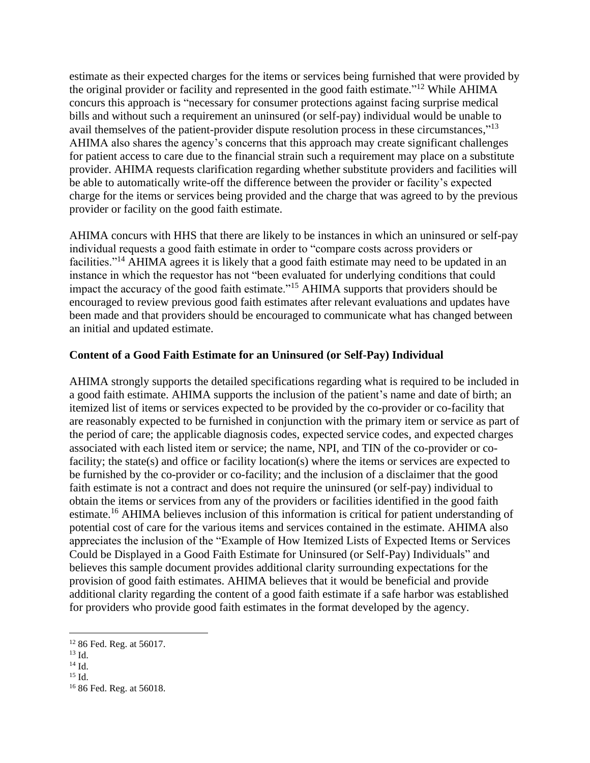estimate as their expected charges for the items or services being furnished that were provided by the original provider or facility and represented in the good faith estimate."<sup>12</sup> While AHIMA concurs this approach is "necessary for consumer protections against facing surprise medical bills and without such a requirement an uninsured (or self-pay) individual would be unable to avail themselves of the patient-provider dispute resolution process in these circumstances,"<sup>13</sup> AHIMA also shares the agency's concerns that this approach may create significant challenges for patient access to care due to the financial strain such a requirement may place on a substitute provider. AHIMA requests clarification regarding whether substitute providers and facilities will be able to automatically write-off the difference between the provider or facility's expected charge for the items or services being provided and the charge that was agreed to by the previous provider or facility on the good faith estimate.

AHIMA concurs with HHS that there are likely to be instances in which an uninsured or self-pay individual requests a good faith estimate in order to "compare costs across providers or facilities."<sup>14</sup> AHIMA agrees it is likely that a good faith estimate may need to be updated in an instance in which the requestor has not "been evaluated for underlying conditions that could impact the accuracy of the good faith estimate."<sup>15</sup> AHIMA supports that providers should be encouraged to review previous good faith estimates after relevant evaluations and updates have been made and that providers should be encouraged to communicate what has changed between an initial and updated estimate.

# **Content of a Good Faith Estimate for an Uninsured (or Self-Pay) Individual**

AHIMA strongly supports the detailed specifications regarding what is required to be included in a good faith estimate. AHIMA supports the inclusion of the patient's name and date of birth; an itemized list of items or services expected to be provided by the co-provider or co-facility that are reasonably expected to be furnished in conjunction with the primary item or service as part of the period of care; the applicable diagnosis codes, expected service codes, and expected charges associated with each listed item or service; the name, NPI, and TIN of the co-provider or cofacility; the state(s) and office or facility location(s) where the items or services are expected to be furnished by the co-provider or co-facility; and the inclusion of a disclaimer that the good faith estimate is not a contract and does not require the uninsured (or self-pay) individual to obtain the items or services from any of the providers or facilities identified in the good faith estimate.<sup>16</sup> AHIMA believes inclusion of this information is critical for patient understanding of potential cost of care for the various items and services contained in the estimate. AHIMA also appreciates the inclusion of the "Example of How Itemized Lists of Expected Items or Services Could be Displayed in a Good Faith Estimate for Uninsured (or Self-Pay) Individuals" and believes this sample document provides additional clarity surrounding expectations for the provision of good faith estimates. AHIMA believes that it would be beneficial and provide additional clarity regarding the content of a good faith estimate if a safe harbor was established for providers who provide good faith estimates in the format developed by the agency.

<sup>12</sup> 86 Fed. Reg. at 56017.

 $^{13}$  Id.

<sup>14</sup> Id.

 $15$  Id.

<sup>16</sup> 86 Fed. Reg. at 56018.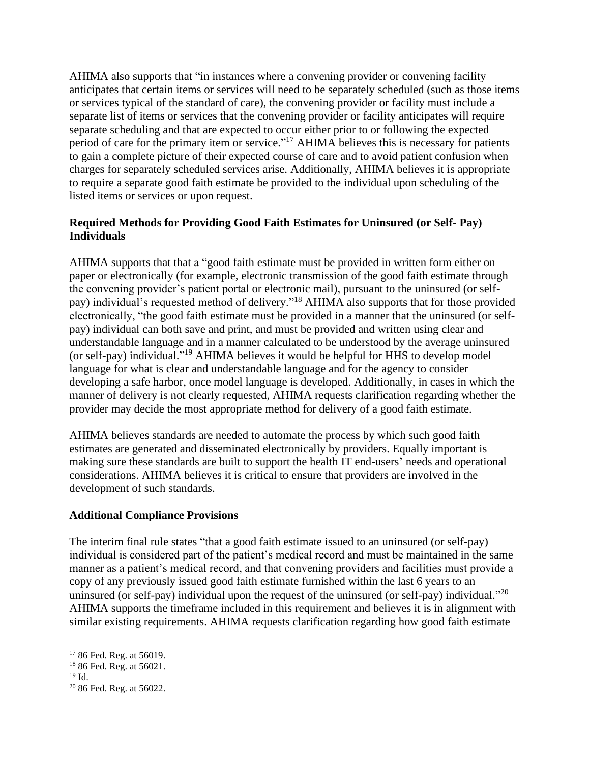AHIMA also supports that "in instances where a convening provider or convening facility anticipates that certain items or services will need to be separately scheduled (such as those items or services typical of the standard of care), the convening provider or facility must include a separate list of items or services that the convening provider or facility anticipates will require separate scheduling and that are expected to occur either prior to or following the expected period of care for the primary item or service."<sup>17</sup> AHIMA believes this is necessary for patients to gain a complete picture of their expected course of care and to avoid patient confusion when charges for separately scheduled services arise. Additionally, AHIMA believes it is appropriate to require a separate good faith estimate be provided to the individual upon scheduling of the listed items or services or upon request.

# **Required Methods for Providing Good Faith Estimates for Uninsured (or Self- Pay) Individuals**

AHIMA supports that that a "good faith estimate must be provided in written form either on paper or electronically (for example, electronic transmission of the good faith estimate through the convening provider's patient portal or electronic mail), pursuant to the uninsured (or selfpay) individual's requested method of delivery."<sup>18</sup> AHIMA also supports that for those provided electronically, "the good faith estimate must be provided in a manner that the uninsured (or selfpay) individual can both save and print, and must be provided and written using clear and understandable language and in a manner calculated to be understood by the average uninsured (or self-pay) individual."<sup>19</sup> AHIMA believes it would be helpful for HHS to develop model language for what is clear and understandable language and for the agency to consider developing a safe harbor, once model language is developed. Additionally, in cases in which the manner of delivery is not clearly requested, AHIMA requests clarification regarding whether the provider may decide the most appropriate method for delivery of a good faith estimate.

AHIMA believes standards are needed to automate the process by which such good faith estimates are generated and disseminated electronically by providers. Equally important is making sure these standards are built to support the health IT end-users' needs and operational considerations. AHIMA believes it is critical to ensure that providers are involved in the development of such standards.

### **Additional Compliance Provisions**

The interim final rule states "that a good faith estimate issued to an uninsured (or self-pay) individual is considered part of the patient's medical record and must be maintained in the same manner as a patient's medical record, and that convening providers and facilities must provide a copy of any previously issued good faith estimate furnished within the last 6 years to an uninsured (or self-pay) individual upon the request of the uninsured (or self-pay) individual."<sup>20</sup> AHIMA supports the timeframe included in this requirement and believes it is in alignment with similar existing requirements. AHIMA requests clarification regarding how good faith estimate

<sup>&</sup>lt;sup>17</sup> 86 Fed. Reg. at 56019.

<sup>18</sup> 86 Fed. Reg. at 56021.

 $19$  Id.

<sup>20</sup> 86 Fed. Reg. at 56022.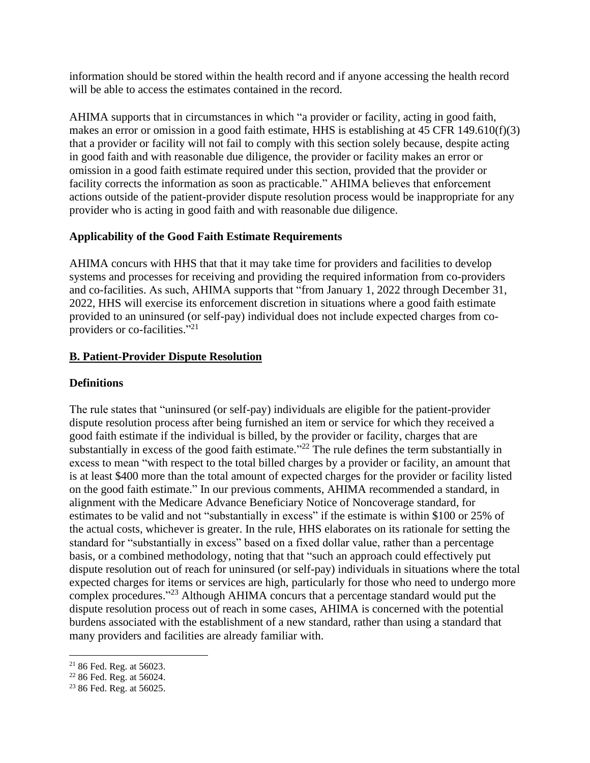information should be stored within the health record and if anyone accessing the health record will be able to access the estimates contained in the record.

AHIMA supports that in circumstances in which "a provider or facility, acting in good faith, makes an error or omission in a good faith estimate, HHS is establishing at 45 CFR 149.610(f)(3) that a provider or facility will not fail to comply with this section solely because, despite acting in good faith and with reasonable due diligence, the provider or facility makes an error or omission in a good faith estimate required under this section, provided that the provider or facility corrects the information as soon as practicable." AHIMA believes that enforcement actions outside of the patient-provider dispute resolution process would be inappropriate for any provider who is acting in good faith and with reasonable due diligence.

### **Applicability of the Good Faith Estimate Requirements**

AHIMA concurs with HHS that that it may take time for providers and facilities to develop systems and processes for receiving and providing the required information from co-providers and co-facilities. As such, AHIMA supports that "from January 1, 2022 through December 31, 2022, HHS will exercise its enforcement discretion in situations where a good faith estimate provided to an uninsured (or self-pay) individual does not include expected charges from coproviders or co-facilities."<sup>21</sup>

# **B. Patient-Provider Dispute Resolution**

### **Definitions**

The rule states that "uninsured (or self-pay) individuals are eligible for the patient-provider dispute resolution process after being furnished an item or service for which they received a good faith estimate if the individual is billed, by the provider or facility, charges that are substantially in excess of the good faith estimate. $12^2$  The rule defines the term substantially in excess to mean "with respect to the total billed charges by a provider or facility, an amount that is at least \$400 more than the total amount of expected charges for the provider or facility listed on the good faith estimate." In our previous comments, AHIMA recommended a standard, in alignment with the Medicare Advance Beneficiary Notice of Noncoverage standard, for estimates to be valid and not "substantially in excess" if the estimate is within \$100 or 25% of the actual costs, whichever is greater. In the rule, HHS elaborates on its rationale for setting the standard for "substantially in excess" based on a fixed dollar value, rather than a percentage basis, or a combined methodology, noting that that "such an approach could effectively put dispute resolution out of reach for uninsured (or self-pay) individuals in situations where the total expected charges for items or services are high, particularly for those who need to undergo more complex procedures." <sup>23</sup> Although AHIMA concurs that a percentage standard would put the dispute resolution process out of reach in some cases, AHIMA is concerned with the potential burdens associated with the establishment of a new standard, rather than using a standard that many providers and facilities are already familiar with.

<sup>21</sup> 86 Fed. Reg. at 56023.

<sup>22</sup> 86 Fed. Reg. at 56024.

<sup>&</sup>lt;sup>23</sup> 86 Fed. Reg. at 56025.